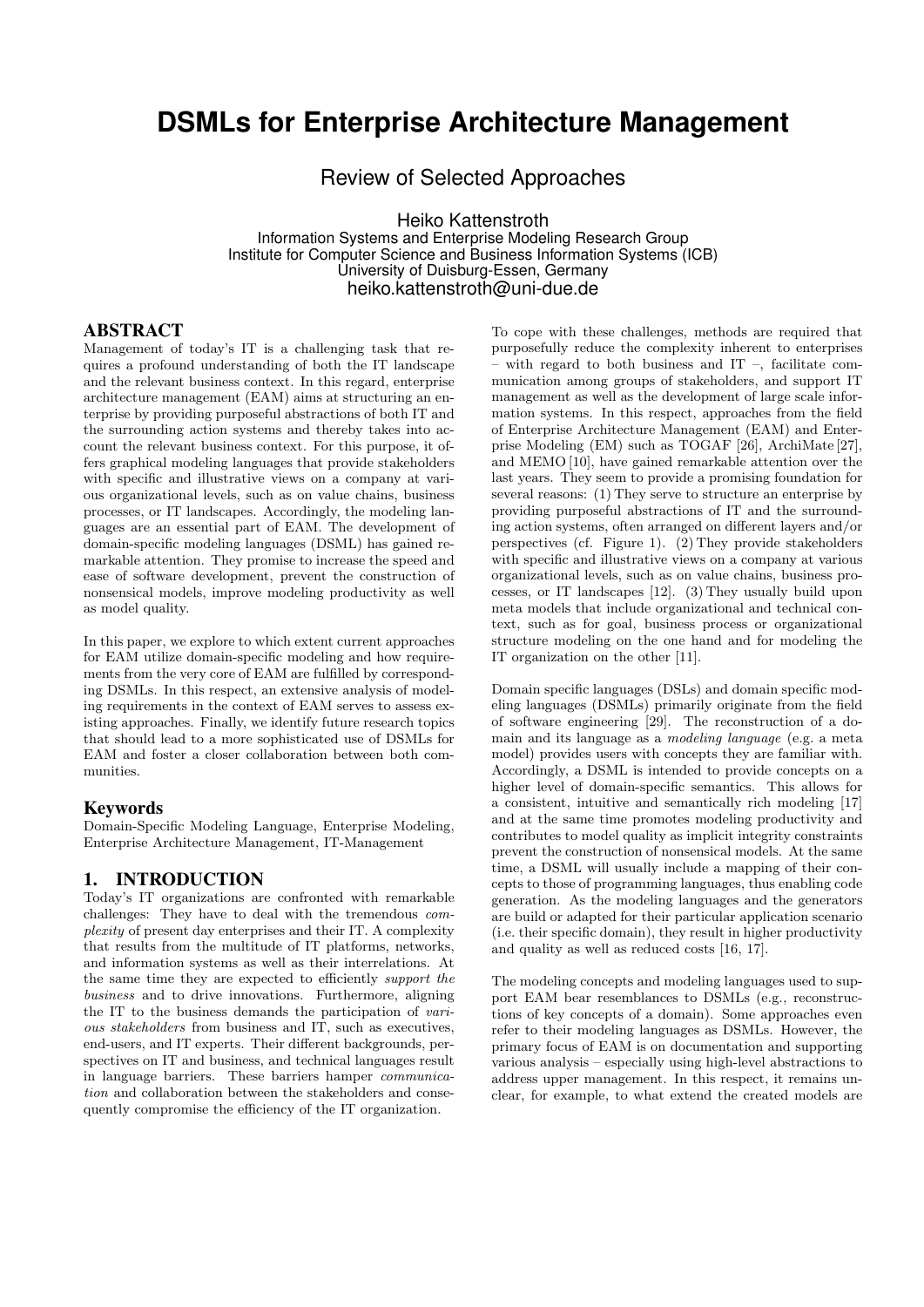# **DSMLs for Enterprise Architecture Management**

Review of Selected Approaches

Heiko Kattenstroth Information Systems and Enterprise Modeling Research Group Institute for Computer Science and Business Information Systems (ICB) University of Duisburg-Essen, Germany heiko.kattenstroth@uni-due.de

# ABSTRACT

Management of today's IT is a challenging task that requires a profound understanding of both the IT landscape and the relevant business context. In this regard, enterprise architecture management (EAM) aims at structuring an enterprise by providing purposeful abstractions of both IT and the surrounding action systems and thereby takes into account the relevant business context. For this purpose, it offers graphical modeling languages that provide stakeholders with specific and illustrative views on a company at various organizational levels, such as on value chains, business processes, or IT landscapes. Accordingly, the modeling languages are an essential part of EAM. The development of domain-specific modeling languages (DSML) has gained remarkable attention. They promise to increase the speed and ease of software development, prevent the construction of nonsensical models, improve modeling productivity as well as model quality.

In this paper, we explore to which extent current approaches for EAM utilize domain-specific modeling and how requirements from the very core of EAM are fulfilled by corresponding DSMLs. In this respect, an extensive analysis of modeling requirements in the context of EAM serves to assess existing approaches. Finally, we identify future research topics that should lead to a more sophisticated use of DSMLs for EAM and foster a closer collaboration between both communities.

# Keywords

Domain-Specific Modeling Language, Enterprise Modeling, Enterprise Architecture Management, IT-Management

# 1. INTRODUCTION

Today's IT organizations are confronted with remarkable challenges: They have to deal with the tremendous complexity of present day enterprises and their IT. A complexity that results from the multitude of IT platforms, networks, and information systems as well as their interrelations. At the same time they are expected to efficiently support the business and to drive innovations. Furthermore, aligning the IT to the business demands the participation of various stakeholders from business and IT, such as executives, end-users, and IT experts. Their different backgrounds, perspectives on IT and business, and technical languages result in language barriers. These barriers hamper communication and collaboration between the stakeholders and consequently compromise the efficiency of the IT organization.

To cope with these challenges, methods are required that purposefully reduce the complexity inherent to enterprises with regard to both business and  $IT$  –, facilitate communication among groups of stakeholders, and support IT management as well as the development of large scale information systems. In this respect, approaches from the field of Enterprise Architecture Management (EAM) and Enterprise Modeling (EM) such as TOGAF [26], ArchiMate [27], and MEMO [10], have gained remarkable attention over the last years. They seem to provide a promising foundation for several reasons: (1) They serve to structure an enterprise by providing purposeful abstractions of IT and the surrounding action systems, often arranged on different layers and/or perspectives (cf. Figure 1). (2) They provide stakeholders with specific and illustrative views on a company at various organizational levels, such as on value chains, business processes, or IT landscapes [12]. (3) They usually build upon meta models that include organizational and technical context, such as for goal, business process or organizational structure modeling on the one hand and for modeling the IT organization on the other [11].

Domain specific languages (DSLs) and domain specific modeling languages (DSMLs) primarily originate from the field of software engineering [29]. The reconstruction of a domain and its language as a modeling language (e.g. a meta model) provides users with concepts they are familiar with. Accordingly, a DSML is intended to provide concepts on a higher level of domain-specific semantics. This allows for a consistent, intuitive and semantically rich modeling [17] and at the same time promotes modeling productivity and contributes to model quality as implicit integrity constraints prevent the construction of nonsensical models. At the same time, a DSML will usually include a mapping of their concepts to those of programming languages, thus enabling code generation. As the modeling languages and the generators are build or adapted for their particular application scenario (i.e. their specific domain), they result in higher productivity and quality as well as reduced costs [16, 17].

The modeling concepts and modeling languages used to support EAM bear resemblances to DSMLs (e.g., reconstructions of key concepts of a domain). Some approaches even refer to their modeling languages as DSMLs. However, the primary focus of EAM is on documentation and supporting various analysis – especially using high-level abstractions to address upper management. In this respect, it remains unclear, for example, to what extend the created models are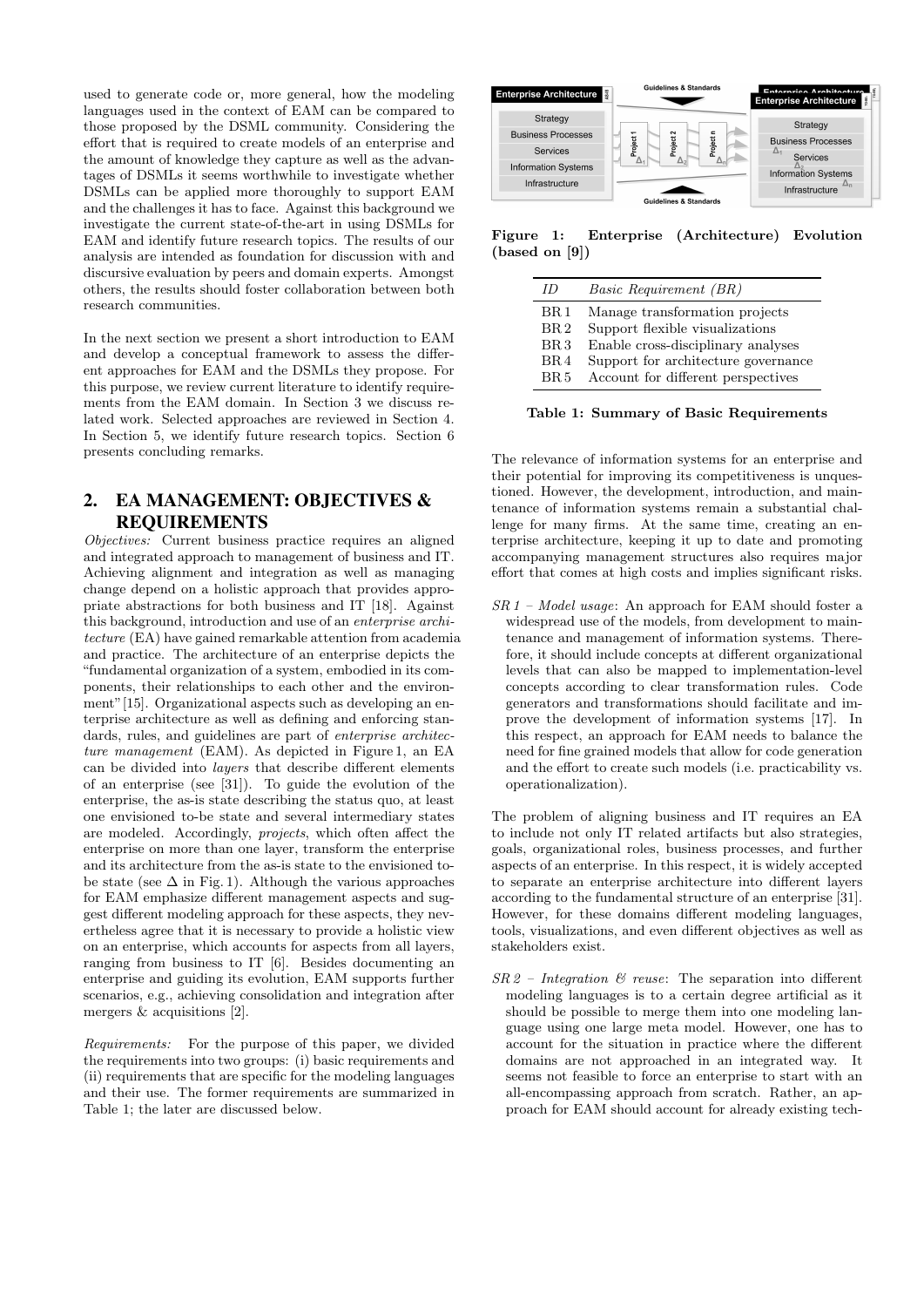used to generate code or, more general, how the modeling languages used in the context of EAM can be compared to those proposed by the DSML community. Considering the effort that is required to create models of an enterprise and the amount of knowledge they capture as well as the advantages of DSMLs it seems worthwhile to investigate whether DSMLs can be applied more thoroughly to support EAM and the challenges it has to face. Against this background we investigate the current state-of-the-art in using DSMLs for EAM and identify future research topics. The results of our analysis are intended as foundation for discussion with and discursive evaluation by peers and domain experts. Amongst others, the results should foster collaboration between both research communities.

In the next section we present a short introduction to EAM and develop a conceptual framework to assess the different approaches for EAM and the DSMLs they propose. For this purpose, we review current literature to identify requirements from the EAM domain. In Section 3 we discuss related work. Selected approaches are reviewed in Section 4. In Section 5, we identify future research topics. Section 6 presents concluding remarks.

# 2. EA MANAGEMENT: OBJECTIVES & REQUIREMENTS

Objectives: Current business practice requires an aligned and integrated approach to management of business and IT. Achieving alignment and integration as well as managing change depend on a holistic approach that provides appropriate abstractions for both business and IT [18]. Against this background, introduction and use of an enterprise architecture (EA) have gained remarkable attention from academia and practice. The architecture of an enterprise depicts the "fundamental organization of a system, embodied in its components, their relationships to each other and the environment"[15]. Organizational aspects such as developing an enterprise architecture as well as defining and enforcing standards, rules, and guidelines are part of *enterprise* architecture management (EAM). As depicted in Figure 1, an EA can be divided into layers that describe different elements of an enterprise (see [31]). To guide the evolution of the enterprise, the as-is state describing the status quo, at least one envisioned to-be state and several intermediary states are modeled. Accordingly, projects, which often affect the enterprise on more than one layer, transform the enterprise and its architecture from the as-is state to the envisioned tobe state (see  $\Delta$  in Fig. 1). Although the various approaches for EAM emphasize different management aspects and suggest different modeling approach for these aspects, they nevertheless agree that it is necessary to provide a holistic view on an enterprise, which accounts for aspects from all layers, ranging from business to IT [6]. Besides documenting an enterprise and guiding its evolution, EAM supports further scenarios, e.g., achieving consolidation and integration after mergers & acquisitions [2].

Requirements: For the purpose of this paper, we divided the requirements into two groups: (i) basic requirements and (ii) requirements that are specific for the modeling languages and their use. The former requirements are summarized in Table 1; the later are discussed below.



Figure 1: Enterprise (Architecture) Evolution (based on [9])

| ΙD              | <i>Basic Requirement (BR)</i>       |
|-----------------|-------------------------------------|
| BR <sub>1</sub> | Manage transformation projects      |
| BR2             | Support flexible visualizations     |
| BR3             | Enable cross-disciplinary analyses  |
| BR <sub>4</sub> | Support for architecture governance |
| BR.5            | Account for different perspectives  |

Table 1: Summary of Basic Requirements

The relevance of information systems for an enterprise and their potential for improving its competitiveness is unquestioned. However, the development, introduction, and maintenance of information systems remain a substantial challenge for many firms. At the same time, creating an enterprise architecture, keeping it up to date and promoting accompanying management structures also requires major effort that comes at high costs and implies significant risks.

 $SR 1 - Model usage$ : An approach for EAM should foster a widespread use of the models, from development to maintenance and management of information systems. Therefore, it should include concepts at different organizational levels that can also be mapped to implementation-level concepts according to clear transformation rules. Code generators and transformations should facilitate and improve the development of information systems [17]. In this respect, an approach for EAM needs to balance the need for fine grained models that allow for code generation and the effort to create such models (i.e. practicability vs. operationalization).

The problem of aligning business and IT requires an EA to include not only IT related artifacts but also strategies, goals, organizational roles, business processes, and further aspects of an enterprise. In this respect, it is widely accepted to separate an enterprise architecture into different layers according to the fundamental structure of an enterprise [31]. However, for these domains different modeling languages, tools, visualizations, and even different objectives as well as stakeholders exist.

 $SR 2$  – Integration  $\mathcal{B}$  reuse: The separation into different modeling languages is to a certain degree artificial as it should be possible to merge them into one modeling language using one large meta model. However, one has to account for the situation in practice where the different domains are not approached in an integrated way. It seems not feasible to force an enterprise to start with an all-encompassing approach from scratch. Rather, an approach for EAM should account for already existing tech-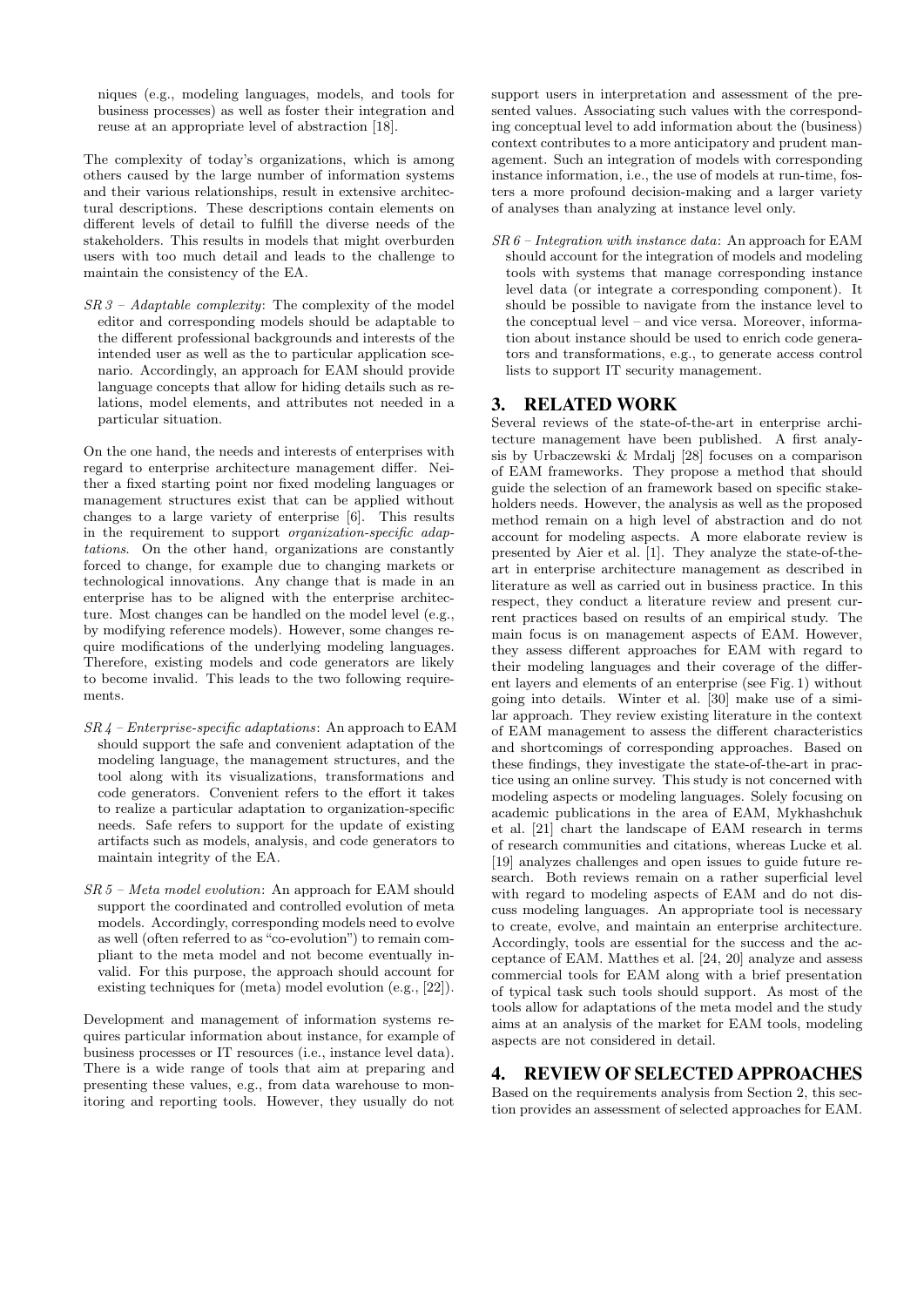niques (e.g., modeling languages, models, and tools for business processes) as well as foster their integration and reuse at an appropriate level of abstraction [18].

The complexity of today's organizations, which is among others caused by the large number of information systems and their various relationships, result in extensive architectural descriptions. These descriptions contain elements on different levels of detail to fulfill the diverse needs of the stakeholders. This results in models that might overburden users with too much detail and leads to the challenge to maintain the consistency of the EA.

 $SR3 - Adaptable\ complexity:$  The complexity of the model editor and corresponding models should be adaptable to the different professional backgrounds and interests of the intended user as well as the to particular application scenario. Accordingly, an approach for EAM should provide language concepts that allow for hiding details such as relations, model elements, and attributes not needed in a particular situation.

On the one hand, the needs and interests of enterprises with regard to enterprise architecture management differ. Neither a fixed starting point nor fixed modeling languages or management structures exist that can be applied without changes to a large variety of enterprise [6]. This results in the requirement to support organization-specific adaptations. On the other hand, organizations are constantly forced to change, for example due to changing markets or technological innovations. Any change that is made in an enterprise has to be aligned with the enterprise architecture. Most changes can be handled on the model level (e.g., by modifying reference models). However, some changes require modifications of the underlying modeling languages. Therefore, existing models and code generators are likely to become invalid. This leads to the two following requirements.

- $SR\text{ }\mathcal{L}-Enterprise-specific\text{ }adaptations:$  An approach to EAM should support the safe and convenient adaptation of the modeling language, the management structures, and the tool along with its visualizations, transformations and code generators. Convenient refers to the effort it takes to realize a particular adaptation to organization-specific needs. Safe refers to support for the update of existing artifacts such as models, analysis, and code generators to maintain integrity of the EA.
- SR 5 Meta model evolution: An approach for EAM should support the coordinated and controlled evolution of meta models. Accordingly, corresponding models need to evolve as well (often referred to as "co-evolution") to remain compliant to the meta model and not become eventually invalid. For this purpose, the approach should account for existing techniques for (meta) model evolution (e.g., [22]).

Development and management of information systems requires particular information about instance, for example of business processes or IT resources (i.e., instance level data). There is a wide range of tools that aim at preparing and presenting these values, e.g., from data warehouse to monitoring and reporting tools. However, they usually do not

support users in interpretation and assessment of the presented values. Associating such values with the corresponding conceptual level to add information about the (business) context contributes to a more anticipatory and prudent management. Such an integration of models with corresponding instance information, i.e., the use of models at run-time, fosters a more profound decision-making and a larger variety of analyses than analyzing at instance level only.

SR 6 – Integration with instance data: An approach for EAM should account for the integration of models and modeling tools with systems that manage corresponding instance level data (or integrate a corresponding component). It should be possible to navigate from the instance level to the conceptual level – and vice versa. Moreover, information about instance should be used to enrich code generators and transformations, e.g., to generate access control lists to support IT security management.

# 3. RELATED WORK

Several reviews of the state-of-the-art in enterprise architecture management have been published. A first analysis by Urbaczewski & Mrdalj [28] focuses on a comparison of EAM frameworks. They propose a method that should guide the selection of an framework based on specific stakeholders needs. However, the analysis as well as the proposed method remain on a high level of abstraction and do not account for modeling aspects. A more elaborate review is presented by Aier et al. [1]. They analyze the state-of-theart in enterprise architecture management as described in literature as well as carried out in business practice. In this respect, they conduct a literature review and present current practices based on results of an empirical study. The main focus is on management aspects of EAM. However, they assess different approaches for EAM with regard to their modeling languages and their coverage of the different layers and elements of an enterprise (see Fig. 1) without going into details. Winter et al. [30] make use of a similar approach. They review existing literature in the context of EAM management to assess the different characteristics and shortcomings of corresponding approaches. Based on these findings, they investigate the state-of-the-art in practice using an online survey. This study is not concerned with modeling aspects or modeling languages. Solely focusing on academic publications in the area of EAM, Mykhashchuk et al. [21] chart the landscape of EAM research in terms of research communities and citations, whereas Lucke et al. [19] analyzes challenges and open issues to guide future research. Both reviews remain on a rather superficial level with regard to modeling aspects of EAM and do not discuss modeling languages. An appropriate tool is necessary to create, evolve, and maintain an enterprise architecture. Accordingly, tools are essential for the success and the acceptance of EAM. Matthes et al. [24, 20] analyze and assess commercial tools for EAM along with a brief presentation of typical task such tools should support. As most of the tools allow for adaptations of the meta model and the study aims at an analysis of the market for EAM tools, modeling aspects are not considered in detail.

# 4. REVIEW OF SELECTED APPROACHES

Based on the requirements analysis from Section 2, this section provides an assessment of selected approaches for EAM.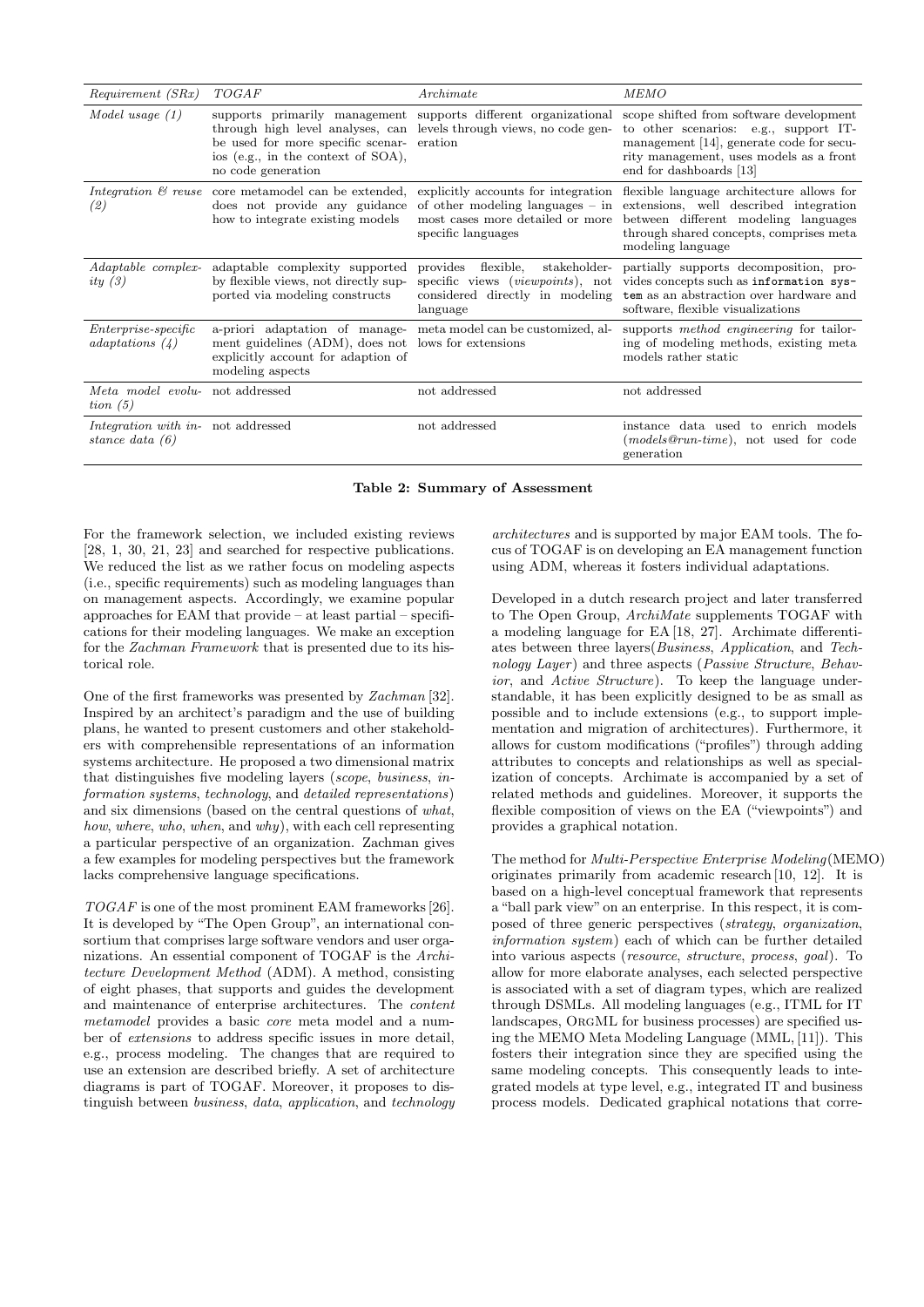| Requirement (SRx)                                       | <b>TOGAF</b>                                                                                                  | Archimate                                                                                                                                                                                           | <b>MEMO</b>                                                                                                                                                                                                             |
|---------------------------------------------------------|---------------------------------------------------------------------------------------------------------------|-----------------------------------------------------------------------------------------------------------------------------------------------------------------------------------------------------|-------------------------------------------------------------------------------------------------------------------------------------------------------------------------------------------------------------------------|
| Model usage $(1)$                                       | be used for more specific scenar- eration<br>ios (e.g., in the context of SOA),<br>no code generation         | supports primarily management supports different organizational<br>through high level analyses, can levels through views, no code gen-                                                              | scope shifted from software development<br>to other scenarios: e.g., support IT-<br>management [14], generate code for secu-<br>rity management, uses models as a front<br>end for dashboards [13]                      |
| (2)                                                     | does not provide any guidance<br>how to integrate existing models                                             | Integration $\mathcal{B}$ reuse core metamodel can be extended, explicitly accounts for integration<br>of other modeling languages $-$ in<br>most cases more detailed or more<br>specific languages | flexible language architecture allows for<br>extensions, well described integration<br>between different modeling languages<br>through shared concepts, comprises meta<br>modeling language                             |
| Adaptable complex-<br>ity $(3)$                         | adaptable complexity supported<br>by flexible views, not directly sup-<br>ported via modeling constructs      | provides flexible,<br>considered directly in modeling<br>language                                                                                                                                   | stakeholder- partially supports decomposition, pro-<br>specific views <i>(viewpoints)</i> , not vides concepts such as information sys-<br>tem as an abstraction over hardware and<br>software, flexible visualizations |
| $Enter prize-specific$<br>adaptations (4)               | ment guidelines (ADM), does not lows for extensions<br>explicitly account for adaption of<br>modeling aspects | a-priori adaptation of manage- meta model can be customized, al-                                                                                                                                    | supports <i>method engineering</i> for tailor-<br>ing of modeling methods, existing meta<br>models rather static                                                                                                        |
| Meta model evolu- not addressed<br>tion $(5)$           |                                                                                                               | not addressed                                                                                                                                                                                       | not addressed                                                                                                                                                                                                           |
| Integration with in- not addressed<br>stance data $(6)$ |                                                                                                               | not addressed                                                                                                                                                                                       | instance data used to enrich models<br>$(modes@run-time)$ , not used for code<br>generation                                                                                                                             |

Table 2: Summary of Assessment

For the framework selection, we included existing reviews [28, 1, 30, 21, 23] and searched for respective publications. We reduced the list as we rather focus on modeling aspects (i.e., specific requirements) such as modeling languages than on management aspects. Accordingly, we examine popular approaches for EAM that provide – at least partial – specifications for their modeling languages. We make an exception for the Zachman Framework that is presented due to its historical role.

One of the first frameworks was presented by Zachman [32]. Inspired by an architect's paradigm and the use of building plans, he wanted to present customers and other stakeholders with comprehensible representations of an information systems architecture. He proposed a two dimensional matrix that distinguishes five modeling layers (scope, business, information systems, technology, and detailed representations) and six dimensions (based on the central questions of what, how, where, who, when, and why), with each cell representing a particular perspective of an organization. Zachman gives a few examples for modeling perspectives but the framework lacks comprehensive language specifications.

TOGAF is one of the most prominent EAM frameworks [26]. It is developed by "The Open Group", an international consortium that comprises large software vendors and user organizations. An essential component of TOGAF is the Architecture Development Method (ADM). A method, consisting of eight phases, that supports and guides the development and maintenance of enterprise architectures. The content metamodel provides a basic core meta model and a number of extensions to address specific issues in more detail, e.g., process modeling. The changes that are required to use an extension are described briefly. A set of architecture diagrams is part of TOGAF. Moreover, it proposes to distinguish between business, data, application, and technology

architectures and is supported by major EAM tools. The focus of TOGAF is on developing an EA management function using ADM, whereas it fosters individual adaptations.

Developed in a dutch research project and later transferred to The Open Group, ArchiMate supplements TOGAF with a modeling language for EA [18, 27]. Archimate differentiates between three layers(Business, Application, and Technology Layer) and three aspects (Passive Structure, Behavior, and Active Structure). To keep the language understandable, it has been explicitly designed to be as small as possible and to include extensions (e.g., to support implementation and migration of architectures). Furthermore, it allows for custom modifications ("profiles") through adding attributes to concepts and relationships as well as specialization of concepts. Archimate is accompanied by a set of related methods and guidelines. Moreover, it supports the flexible composition of views on the EA ("viewpoints") and provides a graphical notation.

The method for Multi-Perspective Enterprise Modeling(MEMO) originates primarily from academic research [10, 12]. It is based on a high-level conceptual framework that represents a "ball park view" on an enterprise. In this respect, it is composed of three generic perspectives (strategy, organization, information system) each of which can be further detailed into various aspects (resource, structure, process, goal). To allow for more elaborate analyses, each selected perspective is associated with a set of diagram types, which are realized through DSMLs. All modeling languages (e.g., ITML for IT landscapes, OrgML for business processes) are specified using the MEMO Meta Modeling Language (MML, [11]). This fosters their integration since they are specified using the same modeling concepts. This consequently leads to integrated models at type level, e.g., integrated IT and business process models. Dedicated graphical notations that corre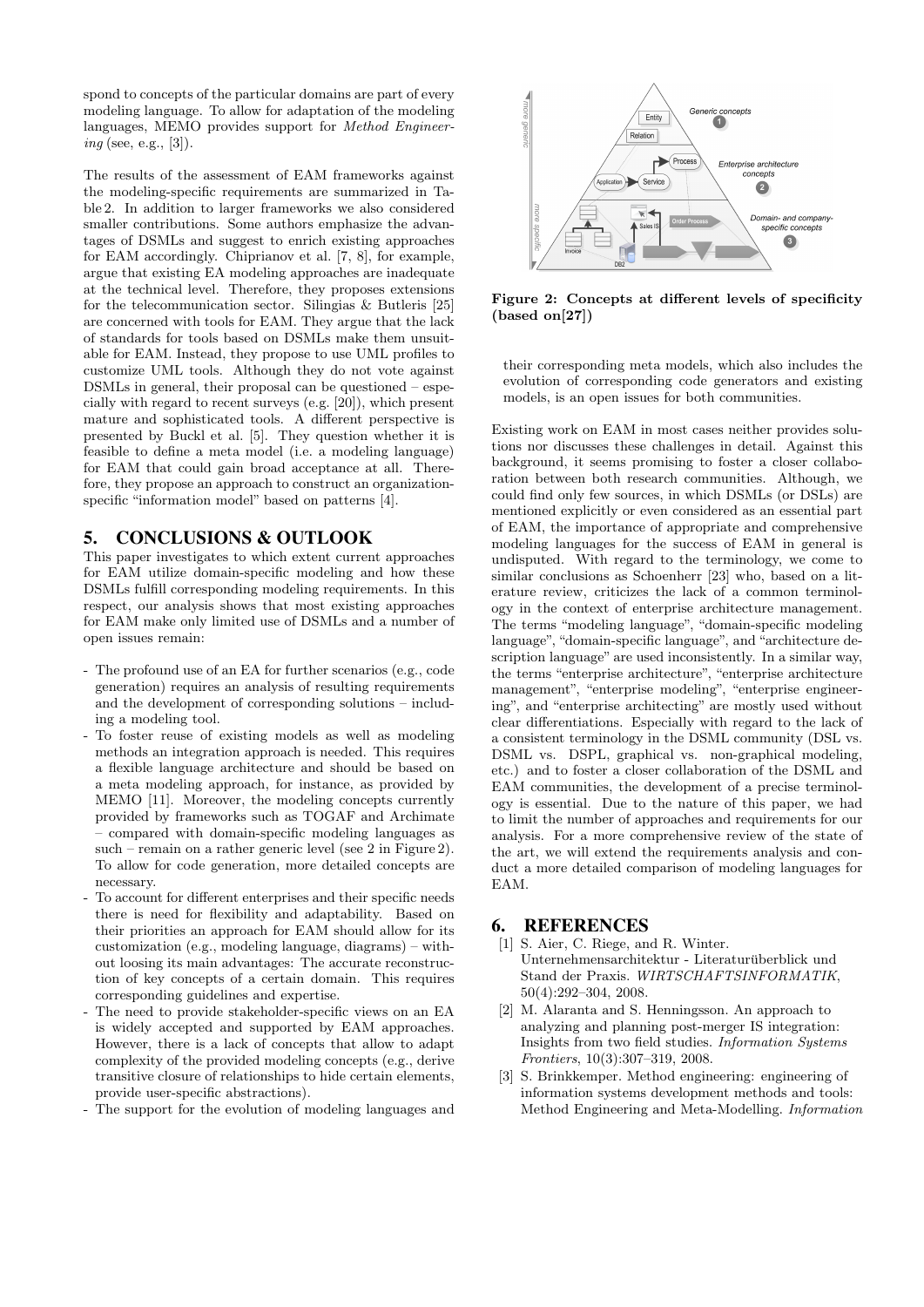spond to concepts of the particular domains are part of every modeling language. To allow for adaptation of the modeling languages, MEMO provides support for Method Engineering (see, e.g., [3]).

The results of the assessment of EAM frameworks against the modeling-specific requirements are summarized in Table 2. In addition to larger frameworks we also considered smaller contributions. Some authors emphasize the advantages of DSMLs and suggest to enrich existing approaches for EAM accordingly. Chiprianov et al. [7, 8], for example, argue that existing EA modeling approaches are inadequate at the technical level. Therefore, they proposes extensions for the telecommunication sector. Silingias & Butleris [25] are concerned with tools for EAM. They argue that the lack of standards for tools based on DSMLs make them unsuitable for EAM. Instead, they propose to use UML profiles to customize UML tools. Although they do not vote against DSMLs in general, their proposal can be questioned – especially with regard to recent surveys (e.g. [20]), which present mature and sophisticated tools. A different perspective is presented by Buckl et al. [5]. They question whether it is feasible to define a meta model (i.e. a modeling language) for EAM that could gain broad acceptance at all. Therefore, they propose an approach to construct an organizationspecific "information model" based on patterns [4].

#### 5. CONCLUSIONS & OUTLOOK

This paper investigates to which extent current approaches for EAM utilize domain-specific modeling and how these DSMLs fulfill corresponding modeling requirements. In this respect, our analysis shows that most existing approaches for EAM make only limited use of DSMLs and a number of open issues remain:

- The profound use of an EA for further scenarios (e.g., code generation) requires an analysis of resulting requirements and the development of corresponding solutions – including a modeling tool.
- To foster reuse of existing models as well as modeling methods an integration approach is needed. This requires a flexible language architecture and should be based on a meta modeling approach, for instance, as provided by MEMO [11]. Moreover, the modeling concepts currently provided by frameworks such as TOGAF and Archimate – compared with domain-specific modeling languages as such – remain on a rather generic level (see 2 in Figure 2). To allow for code generation, more detailed concepts are necessary.
- To account for different enterprises and their specific needs there is need for flexibility and adaptability. Based on their priorities an approach for EAM should allow for its customization (e.g., modeling language, diagrams) – without loosing its main advantages: The accurate reconstruction of key concepts of a certain domain. This requires corresponding guidelines and expertise.
- The need to provide stakeholder-specific views on an EA is widely accepted and supported by EAM approaches. However, there is a lack of concepts that allow to adapt complexity of the provided modeling concepts (e.g., derive transitive closure of relationships to hide certain elements, provide user-specific abstractions).
- The support for the evolution of modeling languages and



Figure 2: Concepts at different levels of specificity (based on[27])

their corresponding meta models, which also includes the evolution of corresponding code generators and existing models, is an open issues for both communities.

Existing work on EAM in most cases neither provides solutions nor discusses these challenges in detail. Against this background, it seems promising to foster a closer collaboration between both research communities. Although, we could find only few sources, in which DSMLs (or DSLs) are mentioned explicitly or even considered as an essential part of EAM, the importance of appropriate and comprehensive modeling languages for the success of EAM in general is undisputed. With regard to the terminology, we come to similar conclusions as Schoenherr [23] who, based on a literature review, criticizes the lack of a common terminology in the context of enterprise architecture management. The terms "modeling language", "domain-specific modeling language", "domain-specific language", and "architecture description language" are used inconsistently. In a similar way, the terms "enterprise architecture", "enterprise architecture management", "enterprise modeling", "enterprise engineering", and "enterprise architecting" are mostly used without clear differentiations. Especially with regard to the lack of a consistent terminology in the DSML community (DSL vs. DSML vs. DSPL, graphical vs. non-graphical modeling, etc.) and to foster a closer collaboration of the DSML and EAM communities, the development of a precise terminology is essential. Due to the nature of this paper, we had to limit the number of approaches and requirements for our analysis. For a more comprehensive review of the state of the art, we will extend the requirements analysis and conduct a more detailed comparison of modeling languages for EAM.

#### 6. REFERENCES

- [1] S. Aier, C. Riege, and R. Winter.  $\;$ Unternehmensarchitektur - Literaturüberblick und Stand der Praxis. WIRTSCHAFTSINFORMATIK, 50(4):292–304, 2008.
- [2] M. Alaranta and S. Henningsson. An approach to analyzing and planning post-merger IS integration: Insights from two field studies. Information Systems Frontiers, 10(3):307–319, 2008.
- [3] S. Brinkkemper. Method engineering: engineering of information systems development methods and tools: Method Engineering and Meta-Modelling. Information